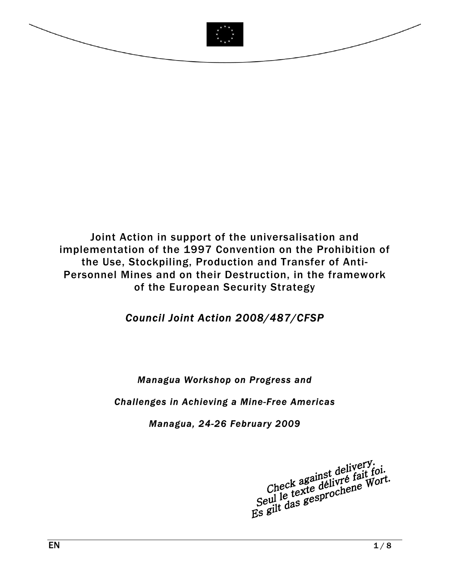

Joint Action in support of the universalisation and implementation of the 1997 Convention on the Prohibition of the Use, Stockpiling, Production and Transfer of Anti-Personnel Mines and on their Destruction, in the framework of the European Security Strategy

# *Council Joint Action 2008/487/CFSP*

## *Managua Workshop on Progress and*

### *Challenges in Achieving a Mine-Free Americas*

### *Managua, 24-26 February 2009*

Check against delivery.<br>Check against delivré fait foi.<br>Seul le texte délivré fait Wort.<br>Es gilt das gesprochene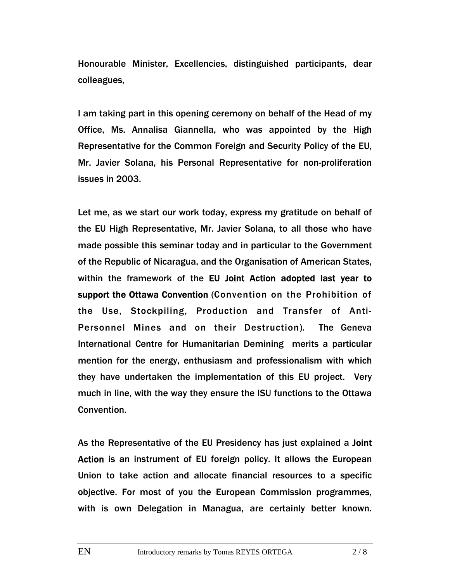Honourable Minister, Excellencies, distinguished participants, dear colleagues,

I am taking part in this opening ceremony on behalf of the Head of my Office, Ms. Annalisa Giannella, who was appointed by the High Representative for the Common Foreign and Security Policy of the EU, Mr. Javier Solana, his Personal Representative for non-proliferation issues in 2003.

Let me, as we start our work today, express my gratitude on behalf of the EU High Representative, Mr. Javier Solana, to all those who have made possible this seminar today and in particular to the Government of the Republic of Nicaragua, and the Organisation of American States, within the framework of the EU Joint Action adopted last year to support the Ottawa Convention (Convention on the Prohibition of the Use, Stockpiling, Production and Transfer of Anti-Personnel Mines and on their Destruction). The Geneva International Centre for Humanitarian Demining merits a particular mention for the energy, enthusiasm and professionalism with which they have undertaken the implementation of this EU project. Very much in line, with the way they ensure the ISU functions to the Ottawa Convention.

As the Representative of the EU Presidency has just explained a Joint Action is an instrument of EU foreign policy. It allows the European Union to take action and allocate financial resources to a specific objective. For most of you the European Commission programmes, with is own Delegation in Managua, are certainly better known.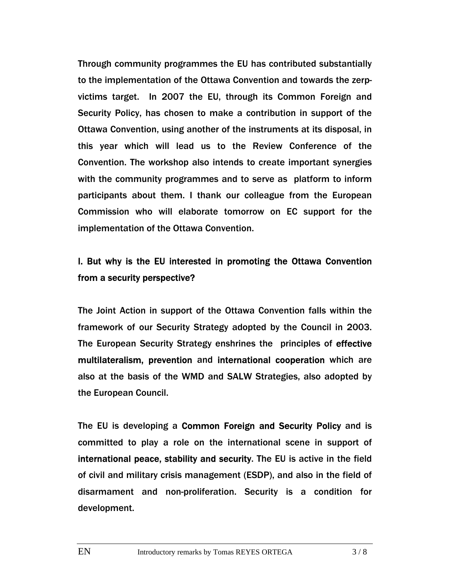Through community programmes the EU has contributed substantially to the implementation of the Ottawa Convention and towards the zerpvictims target. In 2007 the EU, through its Common Foreign and Security Policy, has chosen to make a contribution in support of the Ottawa Convention, using another of the instruments at its disposal, in this year which will lead us to the Review Conference of the Convention. The workshop also intends to create important synergies with the community programmes and to serve as platform to inform participants about them. I thank our colleague from the European Commission who will elaborate tomorrow on EC support for the implementation of the Ottawa Convention.

## I. But why is the EU interested in promoting the Ottawa Convention from a security perspective?

The Joint Action in support of the Ottawa Convention falls within the framework of our Security Strategy adopted by the Council in 2003. The European Security Strategy enshrines the principles of effective multilateralism, prevention and international cooperation which are also at the basis of the WMD and SALW Strategies, also adopted by the European Council.

The EU is developing a Common Foreign and Security Policy and is committed to play a role on the international scene in support of international peace, stability and security. The EU is active in the field of civil and military crisis management (ESDP), and also in the field of disarmament and non-proliferation. Security is a condition for development.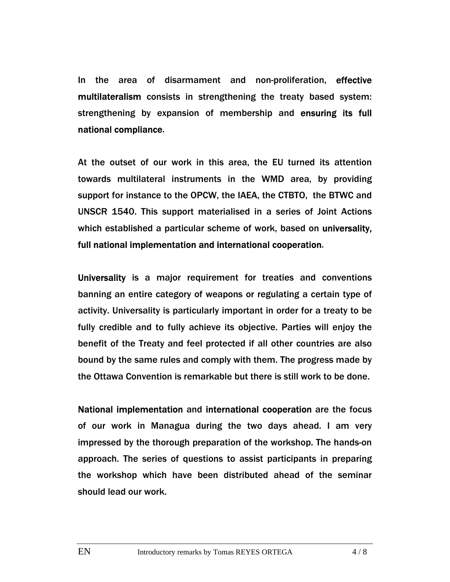In the area of disarmament and non-proliferation, effective multilateralism consists in strengthening the treaty based system: strengthening by expansion of membership and ensuring its full national compliance.

At the outset of our work in this area, the EU turned its attention towards multilateral instruments in the WMD area, by providing support for instance to the OPCW, the IAEA, the CTBTO, the BTWC and UNSCR 1540. This support materialised in a series of Joint Actions which established a particular scheme of work, based on universality, full national implementation and international cooperation.

Universality is a major requirement for treaties and conventions banning an entire category of weapons or regulating a certain type of activity. Universality is particularly important in order for a treaty to be fully credible and to fully achieve its objective. Parties will enjoy the benefit of the Treaty and feel protected if all other countries are also bound by the same rules and comply with them. The progress made by the Ottawa Convention is remarkable but there is still work to be done.

National implementation and international cooperation are the focus of our work in Managua during the two days ahead. I am very impressed by the thorough preparation of the workshop. The hands-on approach. The series of questions to assist participants in preparing the workshop which have been distributed ahead of the seminar should lead our work.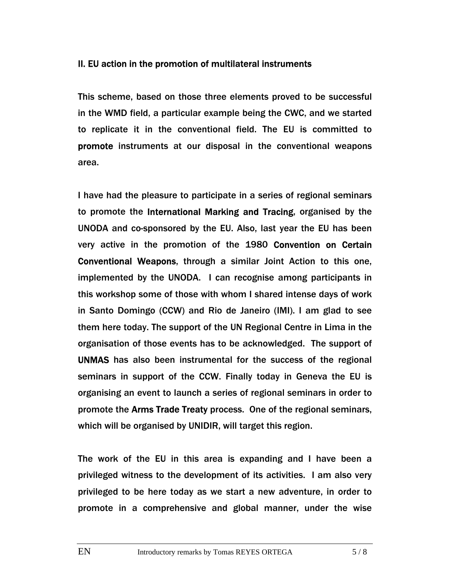#### II. EU action in the promotion of multilateral instruments

This scheme, based on those three elements proved to be successful in the WMD field, a particular example being the CWC, and we started to replicate it in the conventional field. The EU is committed to promote instruments at our disposal in the conventional weapons area.

I have had the pleasure to participate in a series of regional seminars to promote the International Marking and Tracing, organised by the UNODA and co-sponsored by the EU. Also, last year the EU has been very active in the promotion of the 1980 Convention on Certain Conventional Weapons, through a similar Joint Action to this one, implemented by the UNODA. I can recognise among participants in this workshop some of those with whom I shared intense days of work in Santo Domingo (CCW) and Rio de Janeiro (IMI). I am glad to see them here today. The support of the UN Regional Centre in Lima in the organisation of those events has to be acknowledged. The support of UNMAS has also been instrumental for the success of the regional seminars in support of the CCW. Finally today in Geneva the EU is organising an event to launch a series of regional seminars in order to promote the Arms Trade Treaty process. One of the regional seminars, which will be organised by UNIDIR, will target this region.

The work of the EU in this area is expanding and I have been a privileged witness to the development of its activities. I am also very privileged to be here today as we start a new adventure, in order to promote in a comprehensive and global manner, under the wise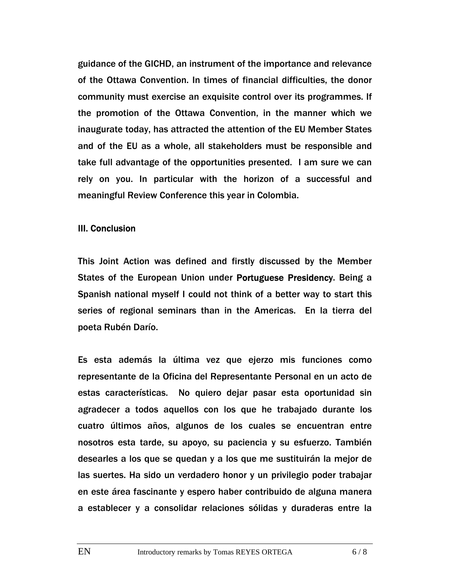guidance of the GICHD, an instrument of the importance and relevance of the Ottawa Convention. In times of financial difficulties, the donor community must exercise an exquisite control over its programmes. If the promotion of the Ottawa Convention, in the manner which we inaugurate today, has attracted the attention of the EU Member States and of the EU as a whole, all stakeholders must be responsible and take full advantage of the opportunities presented. I am sure we can rely on you. In particular with the horizon of a successful and meaningful Review Conference this year in Colombia.

#### III. Conclusion

This Joint Action was defined and firstly discussed by the Member States of the European Union under Portuguese Presidency. Being a Spanish national myself I could not think of a better way to start this series of regional seminars than in the Americas. En la tierra del poeta Rubén Darío.

Es esta además la última vez que ejerzo mis funciones como representante de la Oficina del Representante Personal en un acto de estas características. No quiero dejar pasar esta oportunidad sin agradecer a todos aquellos con los que he trabajado durante los cuatro últimos años, algunos de los cuales se encuentran entre nosotros esta tarde, su apoyo, su paciencia y su esfuerzo. También desearles a los que se quedan y a los que me sustituirán la mejor de las suertes. Ha sido un verdadero honor y un privilegio poder trabajar en este área fascinante y espero haber contribuido de alguna manera a establecer y a consolidar relaciones sólidas y duraderas entre la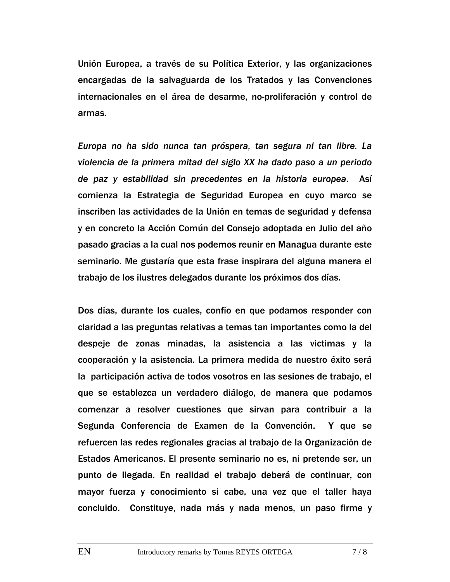Unión Europea, a través de su Política Exterior, y las organizaciones encargadas de la salvaguarda de los Tratados y las Convenciones internacionales en el área de desarme, no-proliferación y control de armas.

*Europa no ha sido nunca tan próspera, tan segura ni tan libre. La violencia de la primera mitad del siglo XX ha dado paso a un periodo de paz y estabilidad sin precedentes en la historia europea*. Así comienza la Estrategia de Seguridad Europea en cuyo marco se inscriben las actividades de la Unión en temas de seguridad y defensa y en concreto la Acción Común del Consejo adoptada en Julio del año pasado gracias a la cual nos podemos reunir en Managua durante este seminario. Me gustaría que esta frase inspirara del alguna manera el trabajo de los ilustres delegados durante los próximos dos días.

Dos días, durante los cuales, confío en que podamos responder con claridad a las preguntas relativas a temas tan importantes como la del despeje de zonas minadas, la asistencia a las victimas y la cooperación y la asistencia. La primera medida de nuestro éxito será la participación activa de todos vosotros en las sesiones de trabajo, el que se establezca un verdadero diálogo, de manera que podamos comenzar a resolver cuestiones que sirvan para contribuir a la Segunda Conferencia de Examen de la Convención. Y que se refuercen las redes regionales gracias al trabajo de la Organización de Estados Americanos. El presente seminario no es, ni pretende ser, un punto de llegada. En realidad el trabajo deberá de continuar, con mayor fuerza y conocimiento si cabe, una vez que el taller haya concluido. Constituye, nada más y nada menos, un paso firme y